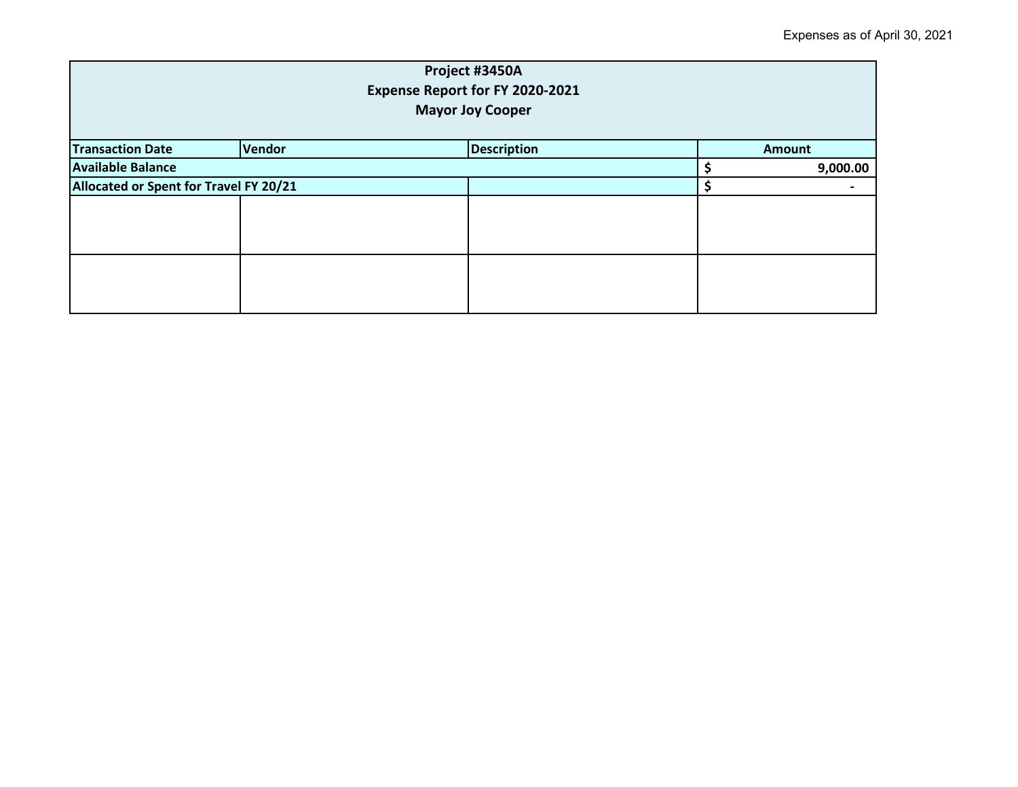| Project #3450A<br>Expense Report for FY 2020-2021<br><b>Mayor Joy Cooper</b> |  |  |  |               |  |  |
|------------------------------------------------------------------------------|--|--|--|---------------|--|--|
| <b>Description</b><br><b>Transaction Date</b><br>Vendor                      |  |  |  | <b>Amount</b> |  |  |
| <b>Available Balance</b>                                                     |  |  |  | 9,000.00      |  |  |
| Allocated or Spent for Travel FY 20/21                                       |  |  |  |               |  |  |
|                                                                              |  |  |  |               |  |  |
|                                                                              |  |  |  |               |  |  |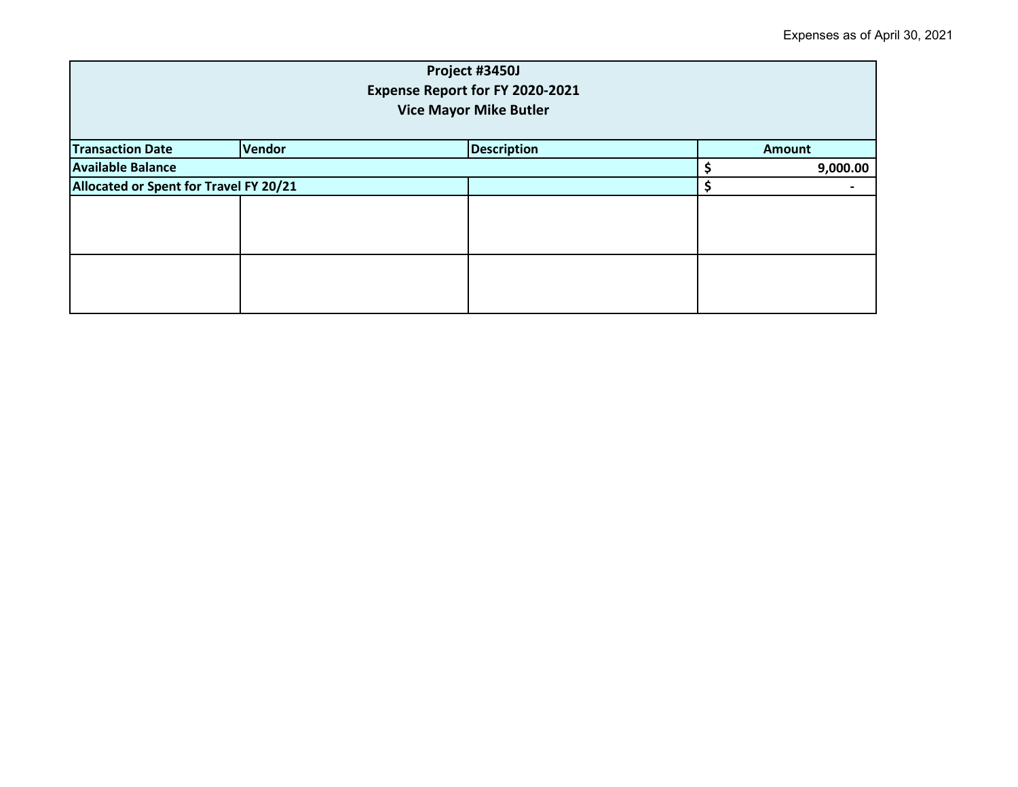| Project #3450J<br>Expense Report for FY 2020-2021<br><b>Vice Mayor Mike Butler</b> |  |  |  |               |  |
|------------------------------------------------------------------------------------|--|--|--|---------------|--|
| <b>Transaction Date</b><br>Vendor<br><b>Description</b>                            |  |  |  | <b>Amount</b> |  |
| <b>Available Balance</b>                                                           |  |  |  | 9,000.00      |  |
| Allocated or Spent for Travel FY 20/21                                             |  |  |  |               |  |
|                                                                                    |  |  |  |               |  |
|                                                                                    |  |  |  |               |  |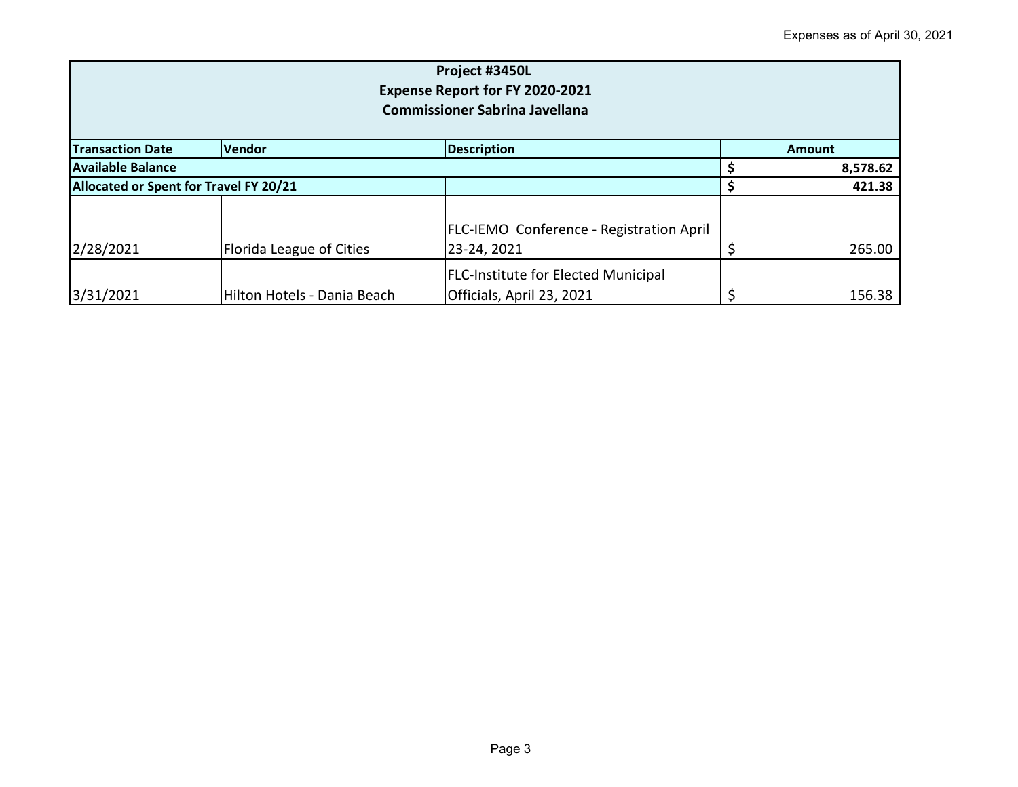| Project #3450L<br>Expense Report for FY 2020-2021<br><b>Commissioner Sabrina Javellana</b> |                                     |                                                                         |  |               |  |  |
|--------------------------------------------------------------------------------------------|-------------------------------------|-------------------------------------------------------------------------|--|---------------|--|--|
| <b>Transaction Date</b>                                                                    | <b>Vendor</b><br><b>Description</b> |                                                                         |  | <b>Amount</b> |  |  |
| Available Balance                                                                          |                                     |                                                                         |  | 8,578.62      |  |  |
| Allocated or Spent for Travel FY 20/21                                                     |                                     |                                                                         |  | 421.38        |  |  |
| 2/28/2021                                                                                  | Florida League of Cities            | <b>FLC-IEMO Conference - Registration April</b><br>23-24, 2021          |  | 265.00        |  |  |
| 3/31/2021                                                                                  | Hilton Hotels - Dania Beach         | <b>FLC-Institute for Elected Municipal</b><br>Officials, April 23, 2021 |  | 156.38        |  |  |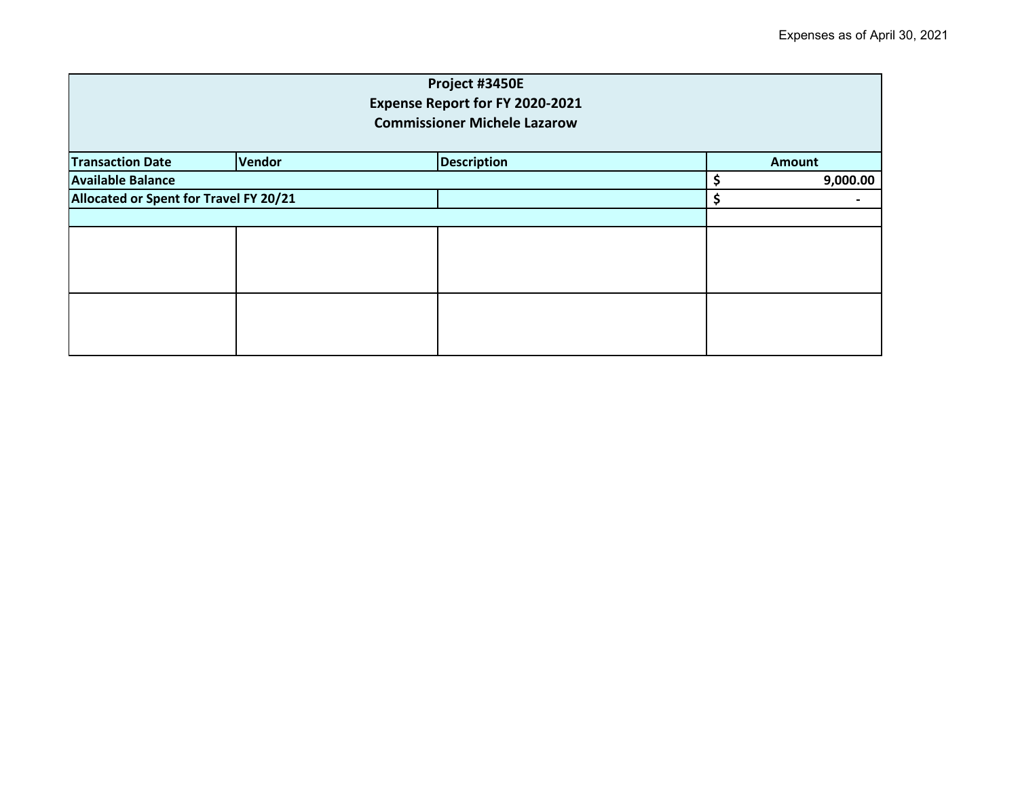| Project #3450E<br>Expense Report for FY 2020-2021<br><b>Commissioner Michele Lazarow</b> |  |  |               |          |  |
|------------------------------------------------------------------------------------------|--|--|---------------|----------|--|
| <b>Vendor</b><br><b>Description</b><br><b>Transaction Date</b>                           |  |  | <b>Amount</b> |          |  |
| <b>Available Balance</b>                                                                 |  |  |               | 9,000.00 |  |
| Allocated or Spent for Travel FY 20/21                                                   |  |  |               | \$       |  |
|                                                                                          |  |  |               |          |  |
|                                                                                          |  |  |               |          |  |
|                                                                                          |  |  |               |          |  |
|                                                                                          |  |  |               |          |  |
|                                                                                          |  |  |               |          |  |
|                                                                                          |  |  |               |          |  |
|                                                                                          |  |  |               |          |  |